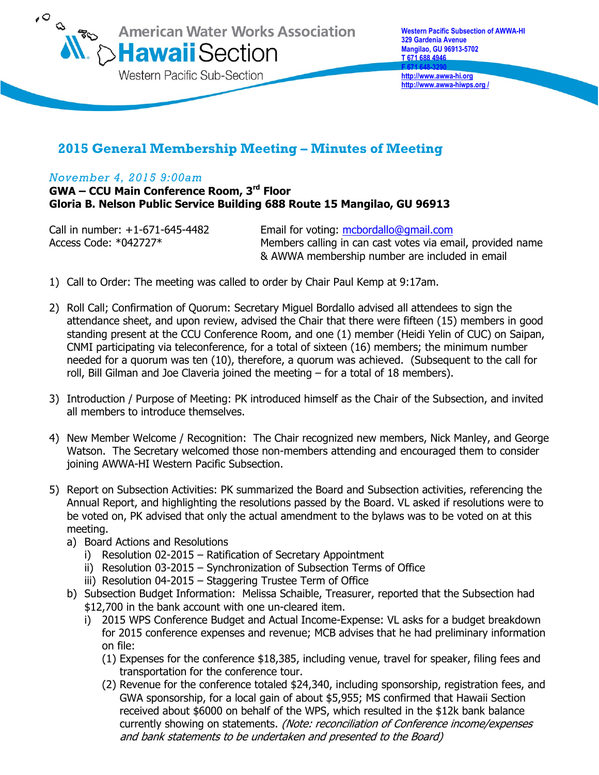

**http://www.awwa-hi.org http://www.awwa-hiwps.org /**

## **2015 General Membership Meeting – Minutes of Meeting**

## *November 4, 2015 9:00am*

**GWA – CCU Main Conference Room, 3rd Floor Gloria B. Nelson Public Service Building 688 Route 15 Mangilao, GU 96913** 

Call in number: +1-671-645-4482 Email for voting: [mcbordallo@gmail.com](mailto:mcbordallo@gmail.com)  Access Code: \*042727\* Members calling in can cast votes via email, provided name & AWWA membership number are included in email

- 1) Call to Order: The meeting was called to order by Chair Paul Kemp at 9:17am.
- 2) Roll Call; Confirmation of Quorum: Secretary Miguel Bordallo advised all attendees to sign the attendance sheet, and upon review, advised the Chair that there were fifteen (15) members in good standing present at the CCU Conference Room, and one (1) member (Heidi Yelin of CUC) on Saipan, CNMI participating via teleconference, for a total of sixteen (16) members; the minimum number needed for a quorum was ten (10), therefore, a quorum was achieved. (Subsequent to the call for roll, Bill Gilman and Joe Claveria joined the meeting – for a total of 18 members).
- 3) Introduction / Purpose of Meeting: PK introduced himself as the Chair of the Subsection, and invited all members to introduce themselves.
- 4) New Member Welcome / Recognition: The Chair recognized new members, Nick Manley, and George Watson. The Secretary welcomed those non-members attending and encouraged them to consider joining AWWA-HI Western Pacific Subsection.
- 5) Report on Subsection Activities: PK summarized the Board and Subsection activities, referencing the Annual Report, and highlighting the resolutions passed by the Board. VL asked if resolutions were to be voted on, PK advised that only the actual amendment to the bylaws was to be voted on at this meeting.
	- a) Board Actions and Resolutions
		- i) Resolution 02-2015 Ratification of Secretary Appointment
		- ii) Resolution 03-2015 Synchronization of Subsection Terms of Office
		- iii) Resolution 04-2015 Staggering Trustee Term of Office
	- b) Subsection Budget Information: Melissa Schaible, Treasurer, reported that the Subsection had \$12,700 in the bank account with one un-cleared item.
		- i) 2015 WPS Conference Budget and Actual Income-Expense: VL asks for a budget breakdown for 2015 conference expenses and revenue; MCB advises that he had preliminary information on file:
			- (1) Expenses for the conference \$18,385, including venue, travel for speaker, filing fees and transportation for the conference tour.
			- (2) Revenue for the conference totaled \$24,340, including sponsorship, registration fees, and GWA sponsorship, for a local gain of about \$5,955; MS confirmed that Hawaii Section received about \$6000 on behalf of the WPS, which resulted in the \$12k bank balance currently showing on statements. (Note: reconciliation of Conference income/expenses and bank statements to be undertaken and presented to the Board)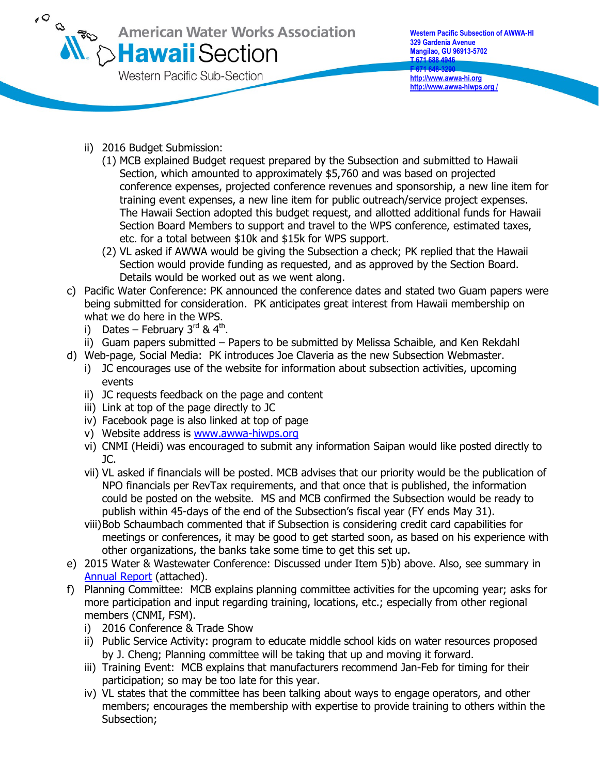

- ii) 2016 Budget Submission:
	- (1) MCB explained Budget request prepared by the Subsection and submitted to Hawaii Section, which amounted to approximately \$5,760 and was based on projected conference expenses, projected conference revenues and sponsorship, a new line item for training event expenses, a new line item for public outreach/service project expenses. The Hawaii Section adopted this budget request, and allotted additional funds for Hawaii Section Board Members to support and travel to the WPS conference, estimated taxes, etc. for a total between \$10k and \$15k for WPS support.
	- (2) VL asked if AWWA would be giving the Subsection a check; PK replied that the Hawaii Section would provide funding as requested, and as approved by the Section Board. Details would be worked out as we went along.
- c) Pacific Water Conference: PK announced the conference dates and stated two Guam papers were being submitted for consideration. PK anticipates great interest from Hawaii membership on what we do here in the WPS.
	- i) Dates February 3<sup>rd</sup> & 4<sup>th</sup>.
	- ii) Guam papers submitted Papers to be submitted by Melissa Schaible, and Ken Rekdahl
- d) Web-page, Social Media: PK introduces Joe Claveria as the new Subsection Webmaster.
	- i) JC encourages use of the website for information about subsection activities, upcoming events
	- ii) JC requests feedback on the page and content
	- iii) Link at top of the page directly to JC
	- iv) Facebook page is also linked at top of page
	- v) Website address is [www.awwa-hiwps.org](http://www.awwa-hiwps.org/)
	- vi) CNMI (Heidi) was encouraged to submit any information Saipan would like posted directly to  $IC.$
	- vii) VL asked if financials will be posted. MCB advises that our priority would be the publication of NPO financials per RevTax requirements, and that once that is published, the information could be posted on the website. MS and MCB confirmed the Subsection would be ready to publish within 45-days of the end of the Subsection's fiscal year (FY ends May 31).
	- viii)Bob Schaumbach commented that if Subsection is considering credit card capabilities for meetings or conferences, it may be good to get started soon, as based on his experience with other organizations, the banks take some time to get this set up.
- e) 2015 Water & Wastewater Conference: Discussed under Item 5)b) above. Also, see summary in [Annual Report](http://www.awwa-hiwps.org/uploads/4/6/2/6/46269853/2014-2015_annual_report.pdf) (attached).
- f) Planning Committee: MCB explains planning committee activities for the upcoming year; asks for more participation and input regarding training, locations, etc.; especially from other regional members (CNMI, FSM).
	- i) 2016 Conference & Trade Show
	- ii) Public Service Activity: program to educate middle school kids on water resources proposed by J. Cheng; Planning committee will be taking that up and moving it forward.
	- iii) Training Event: MCB explains that manufacturers recommend Jan-Feb for timing for their participation; so may be too late for this year.
	- iv) VL states that the committee has been talking about ways to engage operators, and other members; encourages the membership with expertise to provide training to others within the Subsection;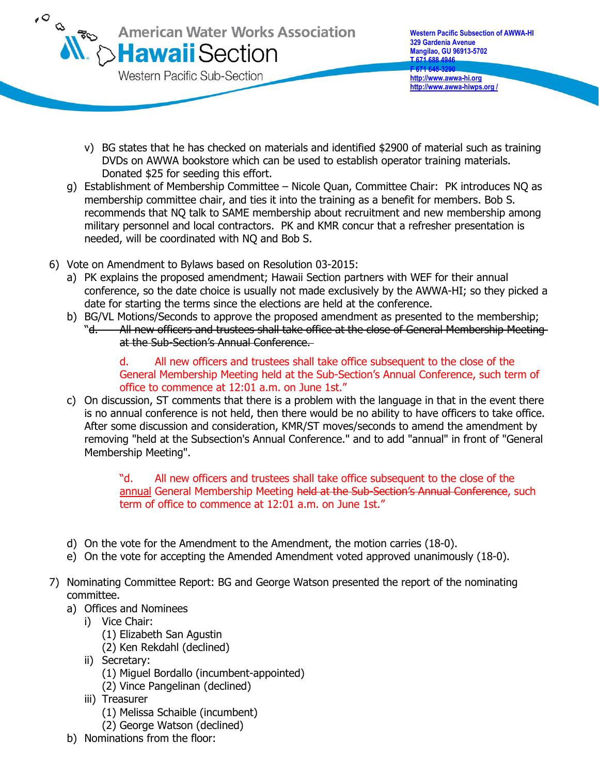

- v) BG states that he has checked on materials and identified \$2900 of material such as training DVDs on AWWA bookstore which can be used to establish operator training materials. Donated \$25 for seeding this effort.
- g) Establishment of Membership Committee Nicole Quan, Committee Chair: PK introduces NQ as membership committee chair, and ties it into the training as a benefit for members. Bob S. recommends that NQ talk to SAME membership about recruitment and new membership among military personnel and local contractors. PK and KMR concur that a refresher presentation is needed, will be coordinated with NQ and Bob S.
- 6) Vote on Amendment to Bylaws based on Resolution 03-2015:
	- a) PK explains the proposed amendment; Hawaii Section partners with WEF for their annual conference, so the date choice is usually not made exclusively by the AWWA-HI; so they picked a date for starting the terms since the elections are held at the conference.
	- b) BG/VL Motions/Seconds to approve the proposed amendment as presented to the membership; "d. All new officers and trustees shall take office at the close of General Membership Meeting at the Sub-Section's Annual Conference.

d. All new officers and trustees shall take office subsequent to the close of the General Membership Meeting held at the Sub-Section's Annual Conference, such term of office to commence at 12:01 a.m. on June 1st."

c) On discussion, ST comments that there is a problem with the language in that in the event there is no annual conference is not held, then there would be no ability to have officers to take office. After some discussion and consideration, KMR/ST moves/seconds to amend the amendment by removing "held at the Subsection's Annual Conference." and to add "annual" in front of "General Membership Meeting".

> "d. All new officers and trustees shall take office subsequent to the close of the annual General Membership Meeting held at the Sub-Section's Annual Conference, such term of office to commence at 12:01 a.m. on June 1st."

- d) On the vote for the Amendment to the Amendment, the motion carries (18-0).
- e) On the vote for accepting the Amended Amendment voted approved unanimously (18-0).
- 7) Nominating Committee Report: BG and George Watson presented the report of the nominating committee.
	- a) Offices and Nominees
		- i) Vice Chair:
			- (1) Elizabeth San Agustin
			- (2) Ken Rekdahl (declined)
		- ii) Secretary:
			- (1) Miguel Bordallo (incumbent-appointed)
			- (2) Vince Pangelinan (declined)
		- iii) Treasurer
			- (1) Melissa Schaible (incumbent)
			- (2) George Watson (declined)
	- b) Nominations from the floor: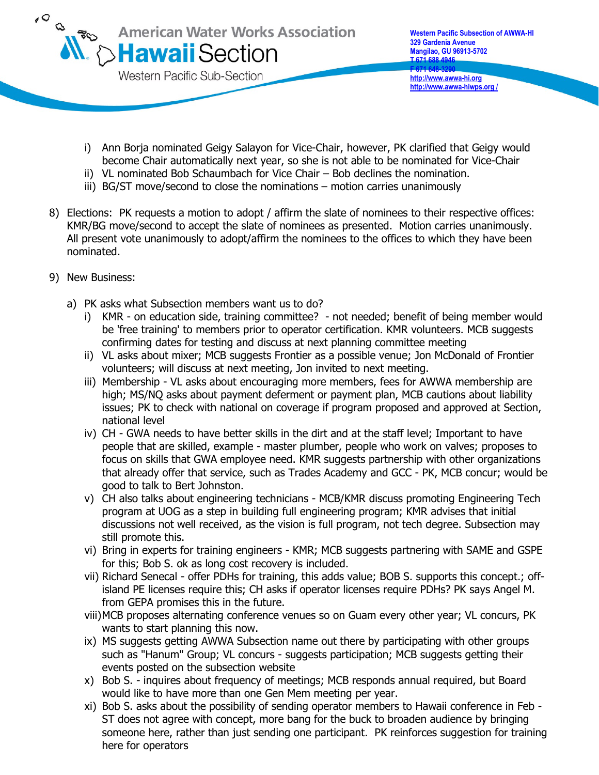

- i) Ann Borja nominated Geigy Salayon for Vice-Chair, however, PK clarified that Geigy would become Chair automatically next year, so she is not able to be nominated for Vice-Chair
- ii) VL nominated Bob Schaumbach for Vice Chair Bob declines the nomination.
- iii) BG/ST move/second to close the nominations motion carries unanimously
- 8) Elections: PK requests a motion to adopt / affirm the slate of nominees to their respective offices: KMR/BG move/second to accept the slate of nominees as presented. Motion carries unanimously. All present vote unanimously to adopt/affirm the nominees to the offices to which they have been nominated.
- 9) New Business:
	- a) PK asks what Subsection members want us to do?
		- i) KMR on education side, training committee? not needed; benefit of being member would be 'free training' to members prior to operator certification. KMR volunteers. MCB suggests confirming dates for testing and discuss at next planning committee meeting
		- ii) VL asks about mixer; MCB suggests Frontier as a possible venue; Jon McDonald of Frontier volunteers; will discuss at next meeting, Jon invited to next meeting.
		- iii) Membership VL asks about encouraging more members, fees for AWWA membership are high; MS/NQ asks about payment deferment or payment plan, MCB cautions about liability issues; PK to check with national on coverage if program proposed and approved at Section, national level
		- iv) CH GWA needs to have better skills in the dirt and at the staff level; Important to have people that are skilled, example - master plumber, people who work on valves; proposes to focus on skills that GWA employee need. KMR suggests partnership with other organizations that already offer that service, such as Trades Academy and GCC - PK, MCB concur; would be good to talk to Bert Johnston.
		- v) CH also talks about engineering technicians MCB/KMR discuss promoting Engineering Tech program at UOG as a step in building full engineering program; KMR advises that initial discussions not well received, as the vision is full program, not tech degree. Subsection may still promote this.
		- vi) Bring in experts for training engineers KMR; MCB suggests partnering with SAME and GSPE for this; Bob S. ok as long cost recovery is included.
		- vii) Richard Senecal offer PDHs for training, this adds value; BOB S. supports this concept.; offisland PE licenses require this; CH asks if operator licenses require PDHs? PK says Angel M. from GEPA promises this in the future.
		- viii)MCB proposes alternating conference venues so on Guam every other year; VL concurs, PK wants to start planning this now.
		- ix) MS suggests getting AWWA Subsection name out there by participating with other groups such as "Hanum" Group; VL concurs - suggests participation; MCB suggests getting their events posted on the subsection website
		- x) Bob S. inquires about frequency of meetings; MCB responds annual required, but Board would like to have more than one Gen Mem meeting per year.
		- xi) Bob S. asks about the possibility of sending operator members to Hawaii conference in Feb ST does not agree with concept, more bang for the buck to broaden audience by bringing someone here, rather than just sending one participant. PK reinforces suggestion for training here for operators